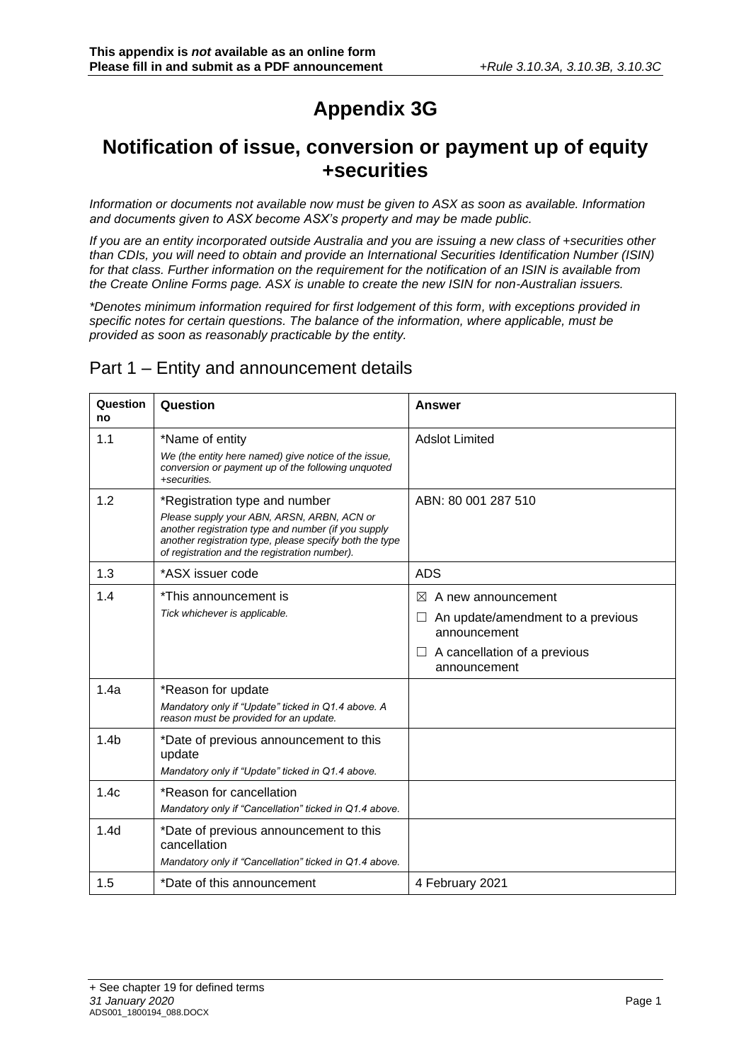# **Appendix 3G**

## **Notification of issue, conversion or payment up of equity +securities**

*Information or documents not available now must be given to ASX as soon as available. Information and documents given to ASX become ASX's property and may be made public.*

*If you are an entity incorporated outside Australia and you are issuing a new class of +securities other than CDIs, you will need to obtain and provide an International Securities Identification Number (ISIN) for that class. Further information on the requirement for the notification of an ISIN is available from the Create Online Forms page. ASX is unable to create the new ISIN for non-Australian issuers.*

*\*Denotes minimum information required for first lodgement of this form, with exceptions provided in specific notes for certain questions. The balance of the information, where applicable, must be provided as soon as reasonably practicable by the entity.*

## Part 1 – Entity and announcement details

| Question<br>no   | Question                                                                                                                                                                                                                                       | <b>Answer</b>                                                                                                                                             |
|------------------|------------------------------------------------------------------------------------------------------------------------------------------------------------------------------------------------------------------------------------------------|-----------------------------------------------------------------------------------------------------------------------------------------------------------|
| 1.1              | *Name of entity<br>We (the entity here named) give notice of the issue,<br>conversion or payment up of the following unquoted<br>+securities.                                                                                                  | <b>Adslot Limited</b>                                                                                                                                     |
| 1.2              | *Registration type and number<br>Please supply your ABN, ARSN, ARBN, ACN or<br>another registration type and number (if you supply<br>another registration type, please specify both the type<br>of registration and the registration number). | ABN: 80 001 287 510                                                                                                                                       |
| 1.3              | *ASX issuer code                                                                                                                                                                                                                               | <b>ADS</b>                                                                                                                                                |
| 1.4              | *This announcement is<br>Tick whichever is applicable.                                                                                                                                                                                         | $\bowtie$<br>A new announcement<br>An update/amendment to a previous<br>$\Box$<br>announcement<br>A cancellation of a previous<br>$\perp$<br>announcement |
| 1.4a             | *Reason for update<br>Mandatory only if "Update" ticked in Q1.4 above. A<br>reason must be provided for an update.                                                                                                                             |                                                                                                                                                           |
| 1.4 <sub>b</sub> | *Date of previous announcement to this<br>update<br>Mandatory only if "Update" ticked in Q1.4 above.                                                                                                                                           |                                                                                                                                                           |
| 1.4c             | *Reason for cancellation<br>Mandatory only if "Cancellation" ticked in Q1.4 above.                                                                                                                                                             |                                                                                                                                                           |
| 1.4d             | *Date of previous announcement to this<br>cancellation<br>Mandatory only if "Cancellation" ticked in Q1.4 above.                                                                                                                               |                                                                                                                                                           |
| 1.5              | *Date of this announcement                                                                                                                                                                                                                     | 4 February 2021                                                                                                                                           |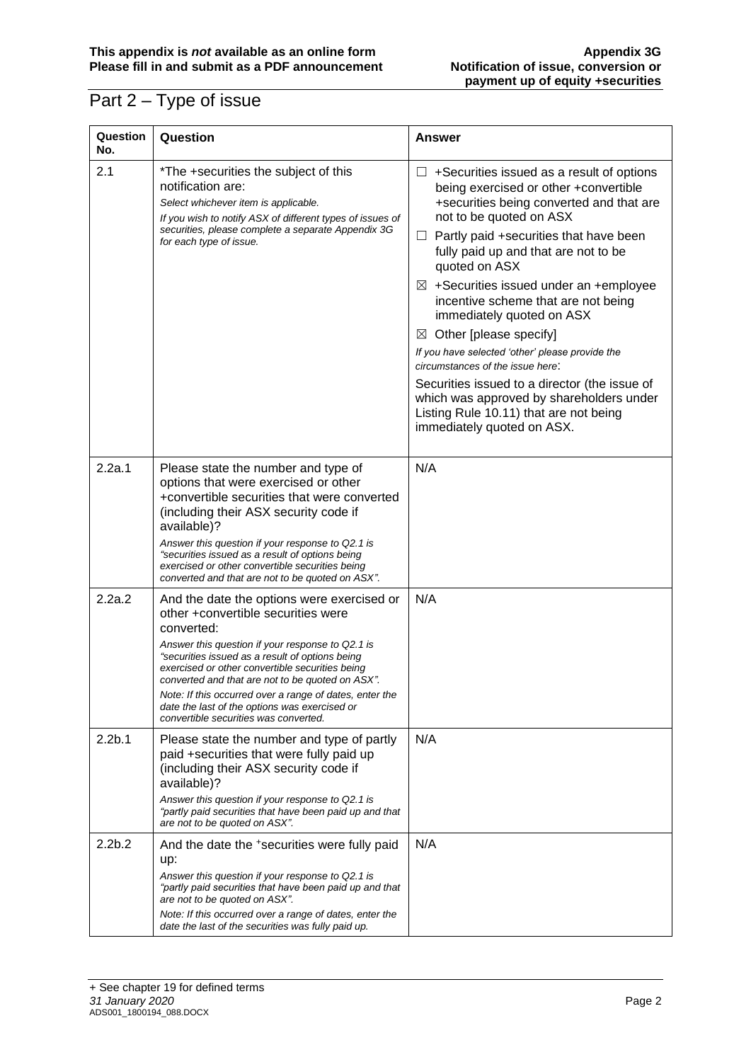## Part 2 – Type of issue

| Question<br>No.    | Question                                                                                                                                                                                                                                                                                                                                                                                                                                                          | <b>Answer</b>                                                                                                                                                                                                                                                                                                                                                                                                                                                                                                                                                                                                                                                                                          |
|--------------------|-------------------------------------------------------------------------------------------------------------------------------------------------------------------------------------------------------------------------------------------------------------------------------------------------------------------------------------------------------------------------------------------------------------------------------------------------------------------|--------------------------------------------------------------------------------------------------------------------------------------------------------------------------------------------------------------------------------------------------------------------------------------------------------------------------------------------------------------------------------------------------------------------------------------------------------------------------------------------------------------------------------------------------------------------------------------------------------------------------------------------------------------------------------------------------------|
| 2.1                | *The +securities the subject of this<br>notification are:<br>Select whichever item is applicable.<br>If you wish to notify ASX of different types of issues of<br>securities, please complete a separate Appendix 3G<br>for each type of issue.                                                                                                                                                                                                                   | $\Box$ +Securities issued as a result of options<br>being exercised or other +convertible<br>+securities being converted and that are<br>not to be quoted on ASX<br>Partly paid +securities that have been<br>ப<br>fully paid up and that are not to be<br>quoted on ASX<br>$\boxtimes$ +Securities issued under an +employee<br>incentive scheme that are not being<br>immediately quoted on ASX<br>Other [please specify]<br>$\boxtimes$<br>If you have selected 'other' please provide the<br>circumstances of the issue here:<br>Securities issued to a director (the issue of<br>which was approved by shareholders under<br>Listing Rule 10.11) that are not being<br>immediately quoted on ASX. |
| 2.2a.1             | Please state the number and type of<br>options that were exercised or other<br>+convertible securities that were converted<br>(including their ASX security code if<br>available)?<br>Answer this question if your response to Q2.1 is<br>"securities issued as a result of options being<br>exercised or other convertible securities being<br>converted and that are not to be quoted on ASX".                                                                  | N/A                                                                                                                                                                                                                                                                                                                                                                                                                                                                                                                                                                                                                                                                                                    |
| 2.2a.2             | And the date the options were exercised or<br>other +convertible securities were<br>converted:<br>Answer this question if your response to Q2.1 is<br>"securities issued as a result of options being<br>exercised or other convertible securities being<br>converted and that are not to be quoted on ASX".<br>Note: If this occurred over a range of dates, enter the<br>date the last of the options was exercised or<br>convertible securities was converted. | N/A                                                                                                                                                                                                                                                                                                                                                                                                                                                                                                                                                                                                                                                                                                    |
| 2.2 <sub>b.1</sub> | Please state the number and type of partly<br>paid +securities that were fully paid up<br>(including their ASX security code if<br>available)?<br>Answer this question if your response to Q2.1 is<br>"partly paid securities that have been paid up and that<br>are not to be quoted on ASX".                                                                                                                                                                    | N/A                                                                                                                                                                                                                                                                                                                                                                                                                                                                                                                                                                                                                                                                                                    |
| 2.2 <sub>b.2</sub> | And the date the +securities were fully paid<br>up:<br>Answer this question if your response to Q2.1 is<br>"partly paid securities that have been paid up and that<br>are not to be quoted on ASX".<br>Note: If this occurred over a range of dates, enter the<br>date the last of the securities was fully paid up.                                                                                                                                              | N/A                                                                                                                                                                                                                                                                                                                                                                                                                                                                                                                                                                                                                                                                                                    |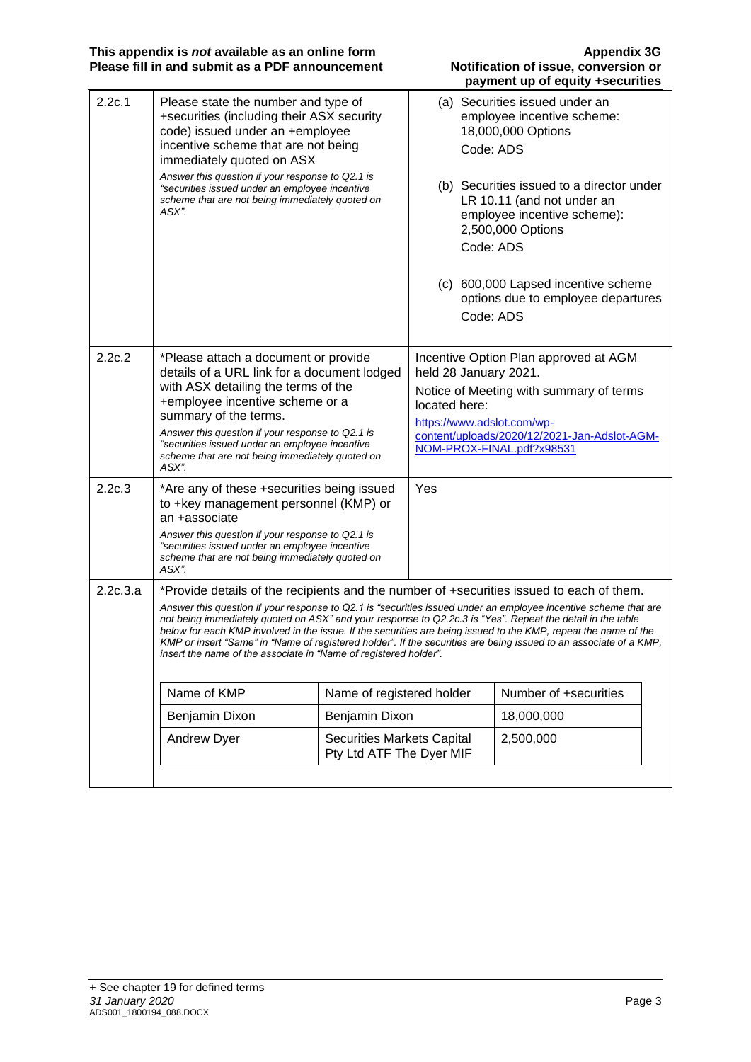**This appendix is** *not* **available as an online form Appendix 3G Please fill in and submit as a PDF announcement Notification of issue, conversion or** 

| 2.2c.1   | Please state the number and type of<br>+securities (including their ASX security<br>code) issued under an +employee<br>incentive scheme that are not being<br>immediately quoted on ASX<br>Answer this question if your response to Q2.1 is<br>"securities issued under an employee incentive<br>scheme that are not being immediately quoted on<br>ASX". |                                                               |                                                                      | (a) Securities issued under an<br>employee incentive scheme:<br>18,000,000 Options<br>Code: ADS<br>(b) Securities issued to a director under<br>LR 10.11 (and not under an<br>employee incentive scheme):<br>2,500,000 Options<br>Code: ADS<br>(c) 600,000 Lapsed incentive scheme<br>options due to employee departures<br>Code: ADS                   |
|----------|-----------------------------------------------------------------------------------------------------------------------------------------------------------------------------------------------------------------------------------------------------------------------------------------------------------------------------------------------------------|---------------------------------------------------------------|----------------------------------------------------------------------|---------------------------------------------------------------------------------------------------------------------------------------------------------------------------------------------------------------------------------------------------------------------------------------------------------------------------------------------------------|
| 2.2c.2   | *Please attach a document or provide<br>details of a URL link for a document lodged<br>with ASX detailing the terms of the<br>+employee incentive scheme or a<br>summary of the terms.<br>Answer this question if your response to Q2.1 is<br>"securities issued under an employee incentive<br>scheme that are not being immediately quoted on<br>ASX".  |                                                               | held 28 January 2021.<br>located here:<br>https://www.adslot.com/wp- | Incentive Option Plan approved at AGM<br>Notice of Meeting with summary of terms<br>content/uploads/2020/12/2021-Jan-Adslot-AGM-<br>NOM-PROX-FINAL.pdf?x98531                                                                                                                                                                                           |
| 2.2c.3   | *Are any of these +securities being issued<br>to +key management personnel (KMP) or<br>an +associate<br>Answer this question if your response to Q2.1 is<br>"securities issued under an employee incentive<br>scheme that are not being immediately quoted on<br>ASX".                                                                                    |                                                               | Yes                                                                  |                                                                                                                                                                                                                                                                                                                                                         |
| 2.2c.3.a | *Provide details of the recipients and the number of +securities issued to each of them.<br>not being immediately quoted on ASX" and your response to Q2.2c.3 is "Yes". Repeat the detail in the table<br>linsert the name of the associate in "Name of registered holder".                                                                               |                                                               |                                                                      | Answer this question if your response to Q2.1 is "securities issued under an employee incentive scheme that are<br>below for each KMP involved in the issue. If the securities are being issued to the KMP, repeat the name of the<br>KMP or insert "Same" in "Name of registered holder". If the securities are being issued to an associate of a KMP, |
|          | Name of KMP                                                                                                                                                                                                                                                                                                                                               | Name of registered holder                                     |                                                                      | Number of +securities                                                                                                                                                                                                                                                                                                                                   |
|          | Benjamin Dixon                                                                                                                                                                                                                                                                                                                                            | Benjamin Dixon                                                |                                                                      | 18,000,000                                                                                                                                                                                                                                                                                                                                              |
|          | <b>Andrew Dyer</b>                                                                                                                                                                                                                                                                                                                                        | <b>Securities Markets Capital</b><br>Pty Ltd ATF The Dyer MIF |                                                                      | 2,500,000                                                                                                                                                                                                                                                                                                                                               |
|          |                                                                                                                                                                                                                                                                                                                                                           |                                                               |                                                                      |                                                                                                                                                                                                                                                                                                                                                         |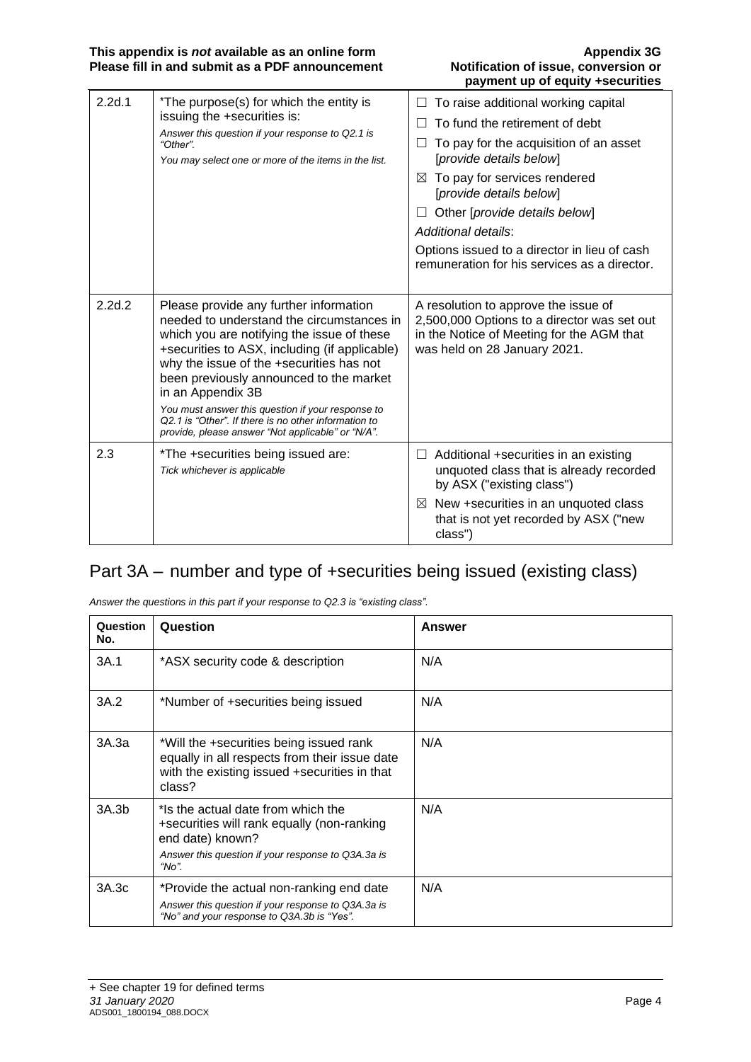| 2.2d.1 | *The purpose(s) for which the entity is<br>issuing the +securities is:<br>Answer this question if your response to Q2.1 is<br>"Other".<br>You may select one or more of the items in the list.                                                                                                                                                                                                                                                                   | To raise additional working capital<br>To fund the retirement of debt<br>To pay for the acquisition of an asset<br>$\Box$<br>[provide details below]<br>$\boxtimes$ To pay for services rendered<br>[provide details below]<br>Other [provide details below]<br>Additional details:<br>Options issued to a director in lieu of cash<br>remuneration for his services as a director. |
|--------|------------------------------------------------------------------------------------------------------------------------------------------------------------------------------------------------------------------------------------------------------------------------------------------------------------------------------------------------------------------------------------------------------------------------------------------------------------------|-------------------------------------------------------------------------------------------------------------------------------------------------------------------------------------------------------------------------------------------------------------------------------------------------------------------------------------------------------------------------------------|
| 2.2d.2 | Please provide any further information<br>needed to understand the circumstances in<br>which you are notifying the issue of these<br>+securities to ASX, including (if applicable)<br>why the issue of the +securities has not<br>been previously announced to the market<br>in an Appendix 3B<br>You must answer this question if your response to<br>Q2.1 is "Other". If there is no other information to<br>provide, please answer "Not applicable" or "N/A". | A resolution to approve the issue of<br>2,500,000 Options to a director was set out<br>in the Notice of Meeting for the AGM that<br>was held on 28 January 2021.                                                                                                                                                                                                                    |
| 2.3    | *The +securities being issued are:<br>Tick whichever is applicable                                                                                                                                                                                                                                                                                                                                                                                               | $\Box$ Additional +securities in an existing<br>unquoted class that is already recorded<br>by ASX ("existing class")<br>$\boxtimes$ New +securities in an unquoted class<br>that is not yet recorded by ASX ("new<br>class")                                                                                                                                                        |

## Part 3A – number and type of +securities being issued (existing class)

|  | Answer the questions in this part if your response to Q2.3 is "existing class". |  |  |  |  |
|--|---------------------------------------------------------------------------------|--|--|--|--|
|  |                                                                                 |  |  |  |  |

| Question<br>No. | Question                                                                                                                                                            | Answer |
|-----------------|---------------------------------------------------------------------------------------------------------------------------------------------------------------------|--------|
| 3A.1            | *ASX security code & description                                                                                                                                    | N/A    |
| 3A.2            | *Number of +securities being issued                                                                                                                                 | N/A    |
| 3A.3a           | *Will the +securities being issued rank<br>equally in all respects from their issue date<br>with the existing issued +securities in that<br>class?                  | N/A    |
| 3A.3b           | *Is the actual date from which the<br>+securities will rank equally (non-ranking<br>end date) known?<br>Answer this question if your response to Q3A.3a is<br>"No". | N/A    |
| 3A.3c           | *Provide the actual non-ranking end date<br>Answer this question if your response to Q3A.3a is<br>"No" and your response to Q3A.3b is "Yes".                        | N/A    |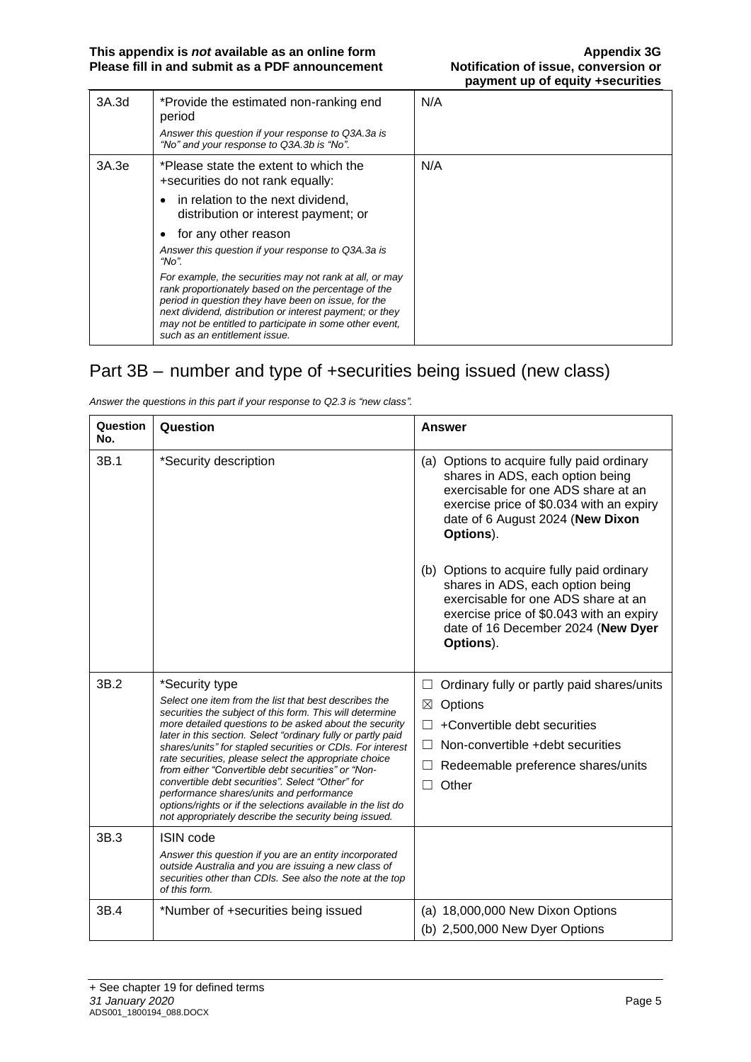| 3A.3d | *Provide the estimated non-ranking end<br>period<br>Answer this question if your response to Q3A.3a is<br>"No" and your response to Q3A.3b is "No".                                                                                                                                                                           | N/A |
|-------|-------------------------------------------------------------------------------------------------------------------------------------------------------------------------------------------------------------------------------------------------------------------------------------------------------------------------------|-----|
| 3A.3e | *Please state the extent to which the<br>+securities do not rank equally:                                                                                                                                                                                                                                                     | N/A |
|       | in relation to the next dividend,<br>$\bullet$<br>distribution or interest payment; or                                                                                                                                                                                                                                        |     |
|       | for any other reason<br>$\bullet$                                                                                                                                                                                                                                                                                             |     |
|       | Answer this question if your response to Q3A.3a is<br>"No".                                                                                                                                                                                                                                                                   |     |
|       | For example, the securities may not rank at all, or may<br>rank proportionately based on the percentage of the<br>period in question they have been on issue, for the<br>next dividend, distribution or interest payment; or they<br>may not be entitled to participate in some other event,<br>such as an entitlement issue. |     |

## Part 3B – number and type of +securities being issued (new class)

| Question<br>No. | Question                                                                                                                                                                                                              | <b>Answer</b>                                                                                                                                                                                                        |
|-----------------|-----------------------------------------------------------------------------------------------------------------------------------------------------------------------------------------------------------------------|----------------------------------------------------------------------------------------------------------------------------------------------------------------------------------------------------------------------|
| 3B.1            | *Security description                                                                                                                                                                                                 | (a) Options to acquire fully paid ordinary<br>shares in ADS, each option being<br>exercisable for one ADS share at an<br>exercise price of \$0.034 with an expiry<br>date of 6 August 2024 (New Dixon<br>Options).   |
|                 |                                                                                                                                                                                                                       | (b) Options to acquire fully paid ordinary<br>shares in ADS, each option being<br>exercisable for one ADS share at an<br>exercise price of \$0.043 with an expiry<br>date of 16 December 2024 (New Dyer<br>Options). |
| 3B.2            | *Security type                                                                                                                                                                                                        | Ordinary fully or partly paid shares/units<br>ப                                                                                                                                                                      |
|                 | Select one item from the list that best describes the<br>securities the subject of this form. This will determine                                                                                                     | Options<br>⊠                                                                                                                                                                                                         |
|                 | more detailed questions to be asked about the security                                                                                                                                                                | +Convertible debt securities<br>П                                                                                                                                                                                    |
|                 | later in this section. Select "ordinary fully or partly paid<br>shares/units" for stapled securities or CDIs. For interest                                                                                            | Non-convertible +debt securities<br>$\mathsf{L}$                                                                                                                                                                     |
|                 | rate securities, please select the appropriate choice<br>from either "Convertible debt securities" or "Non-                                                                                                           | Redeemable preference shares/units                                                                                                                                                                                   |
|                 | convertible debt securities". Select "Other" for<br>performance shares/units and performance<br>options/rights or if the selections available in the list do<br>not appropriately describe the security being issued. | Other<br>П                                                                                                                                                                                                           |
| 3B.3            | <b>ISIN</b> code                                                                                                                                                                                                      |                                                                                                                                                                                                                      |
|                 | Answer this question if you are an entity incorporated<br>outside Australia and you are issuing a new class of<br>securities other than CDIs. See also the note at the top<br>of this form.                           |                                                                                                                                                                                                                      |
| 3B.4            | *Number of +securities being issued                                                                                                                                                                                   | (a) 18,000,000 New Dixon Options                                                                                                                                                                                     |
|                 |                                                                                                                                                                                                                       | (b) 2,500,000 New Dyer Options                                                                                                                                                                                       |

*Answer the questions in this part if your response to Q2.3 is "new class".*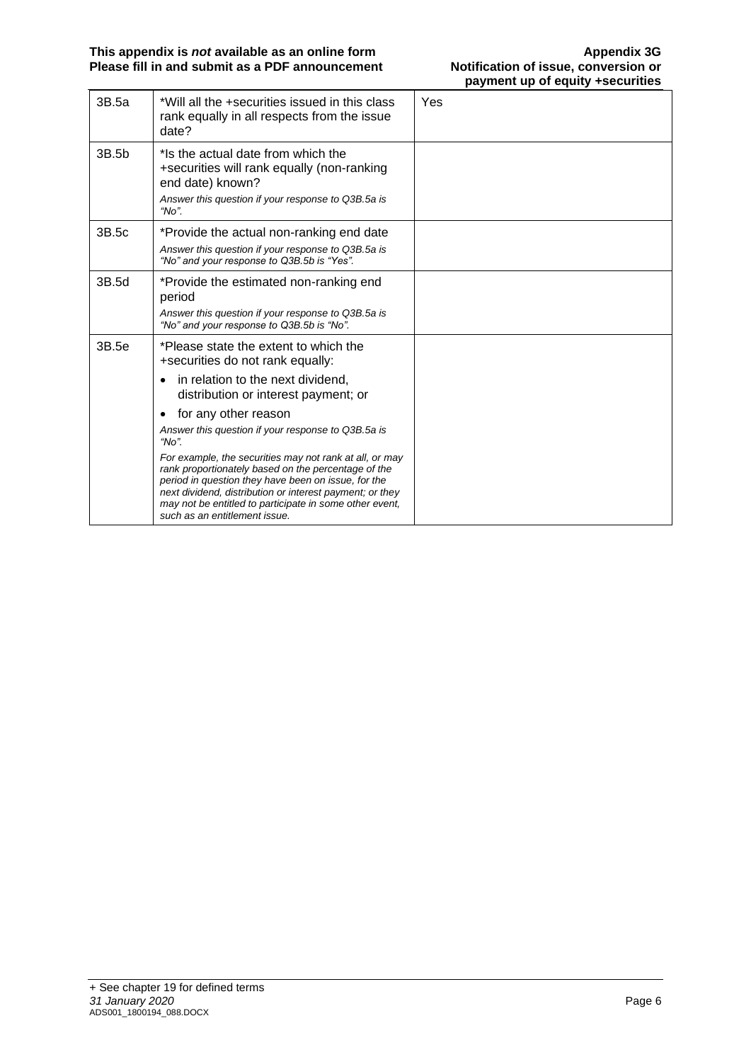| 3B.5a | *Will all the +securities issued in this class<br>rank equally in all respects from the issue<br>date?                                                                                                                                                                                                                                                                                                                                                                                                                                                                                          | Yes |
|-------|-------------------------------------------------------------------------------------------------------------------------------------------------------------------------------------------------------------------------------------------------------------------------------------------------------------------------------------------------------------------------------------------------------------------------------------------------------------------------------------------------------------------------------------------------------------------------------------------------|-----|
| 3B.5b | *Is the actual date from which the<br>+securities will rank equally (non-ranking<br>end date) known?<br>Answer this question if your response to Q3B.5a is<br>" $No$ ".                                                                                                                                                                                                                                                                                                                                                                                                                         |     |
| 3B.5c | *Provide the actual non-ranking end date<br>Answer this question if your response to Q3B.5a is<br>"No" and your response to Q3B.5b is "Yes".                                                                                                                                                                                                                                                                                                                                                                                                                                                    |     |
| 3B.5d | *Provide the estimated non-ranking end<br>period<br>Answer this question if your response to Q3B.5a is<br>"No" and your response to Q3B.5b is "No".                                                                                                                                                                                                                                                                                                                                                                                                                                             |     |
| 3B.5e | *Please state the extent to which the<br>+securities do not rank equally:<br>in relation to the next dividend,<br>distribution or interest payment; or<br>for any other reason<br>$\bullet$<br>Answer this question if your response to Q3B.5a is<br>" $No$ ".<br>For example, the securities may not rank at all, or may<br>rank proportionately based on the percentage of the<br>period in question they have been on issue, for the<br>next dividend, distribution or interest payment; or they<br>may not be entitled to participate in some other event,<br>such as an entitlement issue. |     |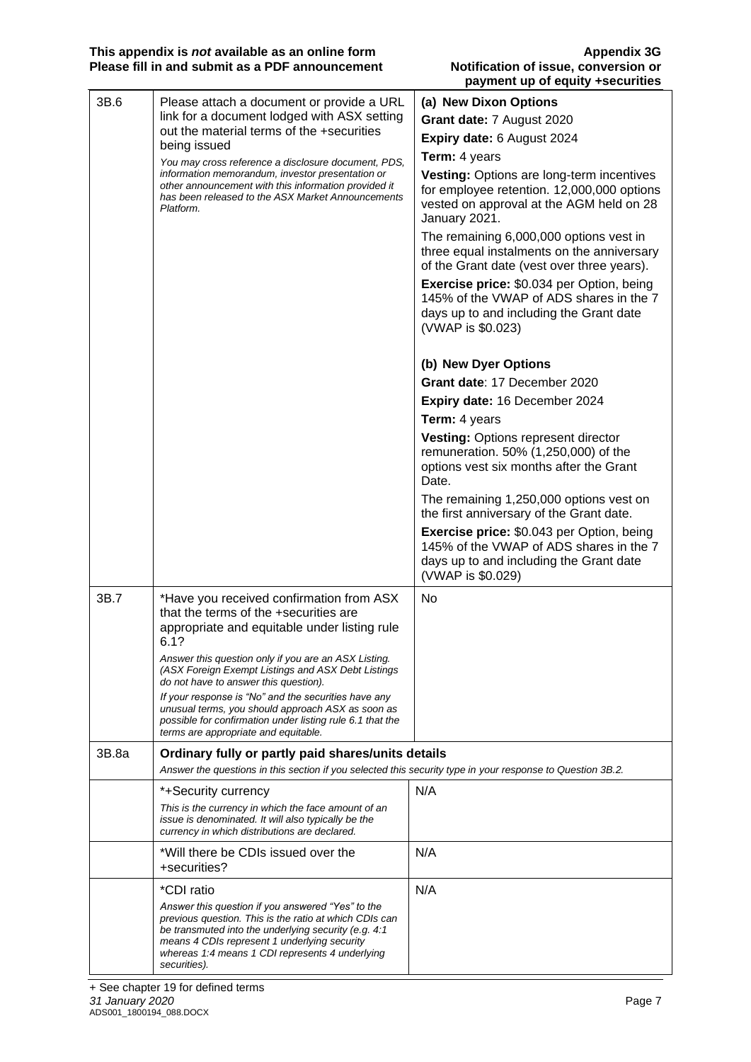| 3B.6  | Please attach a document or provide a URL                                                                                                                                                                                                                                              | (a) New Dixon Options                                                                                                                                       |
|-------|----------------------------------------------------------------------------------------------------------------------------------------------------------------------------------------------------------------------------------------------------------------------------------------|-------------------------------------------------------------------------------------------------------------------------------------------------------------|
|       | link for a document lodged with ASX setting                                                                                                                                                                                                                                            | Grant date: 7 August 2020                                                                                                                                   |
|       | out the material terms of the +securities                                                                                                                                                                                                                                              | Expiry date: 6 August 2024                                                                                                                                  |
|       | being issued                                                                                                                                                                                                                                                                           | Term: 4 years                                                                                                                                               |
|       | You may cross reference a disclosure document, PDS,<br>information memorandum, investor presentation or<br>other announcement with this information provided it<br>has been released to the ASX Market Announcements<br>Platform.                                                      | Vesting: Options are long-term incentives<br>for employee retention. 12,000,000 options<br>vested on approval at the AGM held on 28<br>January 2021.        |
|       |                                                                                                                                                                                                                                                                                        | The remaining 6,000,000 options vest in<br>three equal instalments on the anniversary<br>of the Grant date (vest over three years).                         |
|       |                                                                                                                                                                                                                                                                                        | <b>Exercise price: \$0.034 per Option, being</b><br>145% of the VWAP of ADS shares in the 7<br>days up to and including the Grant date<br>(VWAP is \$0.023) |
|       |                                                                                                                                                                                                                                                                                        | (b) New Dyer Options                                                                                                                                        |
|       |                                                                                                                                                                                                                                                                                        | Grant date: 17 December 2020                                                                                                                                |
|       |                                                                                                                                                                                                                                                                                        | Expiry date: 16 December 2024                                                                                                                               |
|       |                                                                                                                                                                                                                                                                                        | Term: 4 years                                                                                                                                               |
|       |                                                                                                                                                                                                                                                                                        | Vesting: Options represent director<br>remuneration. 50% (1,250,000) of the<br>options vest six months after the Grant<br>Date.                             |
|       | The remaining 1,250,000 options vest on<br>the first anniversary of the Grant date.                                                                                                                                                                                                    |                                                                                                                                                             |
|       |                                                                                                                                                                                                                                                                                        | <b>Exercise price: \$0.043 per Option, being</b><br>145% of the VWAP of ADS shares in the 7<br>days up to and including the Grant date<br>(VWAP is \$0.029) |
| 3B.7  | *Have you received confirmation from ASX                                                                                                                                                                                                                                               | <b>No</b>                                                                                                                                                   |
|       | that the terms of the +securities are                                                                                                                                                                                                                                                  |                                                                                                                                                             |
|       | appropriate and equitable under listing rule<br>6.1?                                                                                                                                                                                                                                   |                                                                                                                                                             |
|       | Answer this question only if you are an ASX Listing.<br>(ASX Foreign Exempt Listings and ASX Debt Listings<br>do not have to answer this question).                                                                                                                                    |                                                                                                                                                             |
|       | If your response is "No" and the securities have any<br>unusual terms, you should approach ASX as soon as<br>possible for confirmation under listing rule 6.1 that the<br>terms are appropriate and equitable.                                                                         |                                                                                                                                                             |
| 3B.8a | Ordinary fully or partly paid shares/units details<br>Answer the questions in this section if you selected this security type in your response to Question 3B.2.                                                                                                                       |                                                                                                                                                             |
|       | *+Security currency                                                                                                                                                                                                                                                                    | N/A                                                                                                                                                         |
|       | This is the currency in which the face amount of an<br>issue is denominated. It will also typically be the<br>currency in which distributions are declared.                                                                                                                            |                                                                                                                                                             |
|       | *Will there be CDIs issued over the<br>+securities?                                                                                                                                                                                                                                    | N/A                                                                                                                                                         |
|       | *CDI ratio                                                                                                                                                                                                                                                                             | N/A                                                                                                                                                         |
|       | Answer this question if you answered "Yes" to the<br>previous question. This is the ratio at which CDIs can<br>be transmuted into the underlying security (e.g. 4:1<br>means 4 CDIs represent 1 underlying security<br>whereas 1:4 means 1 CDI represents 4 underlying<br>securities). |                                                                                                                                                             |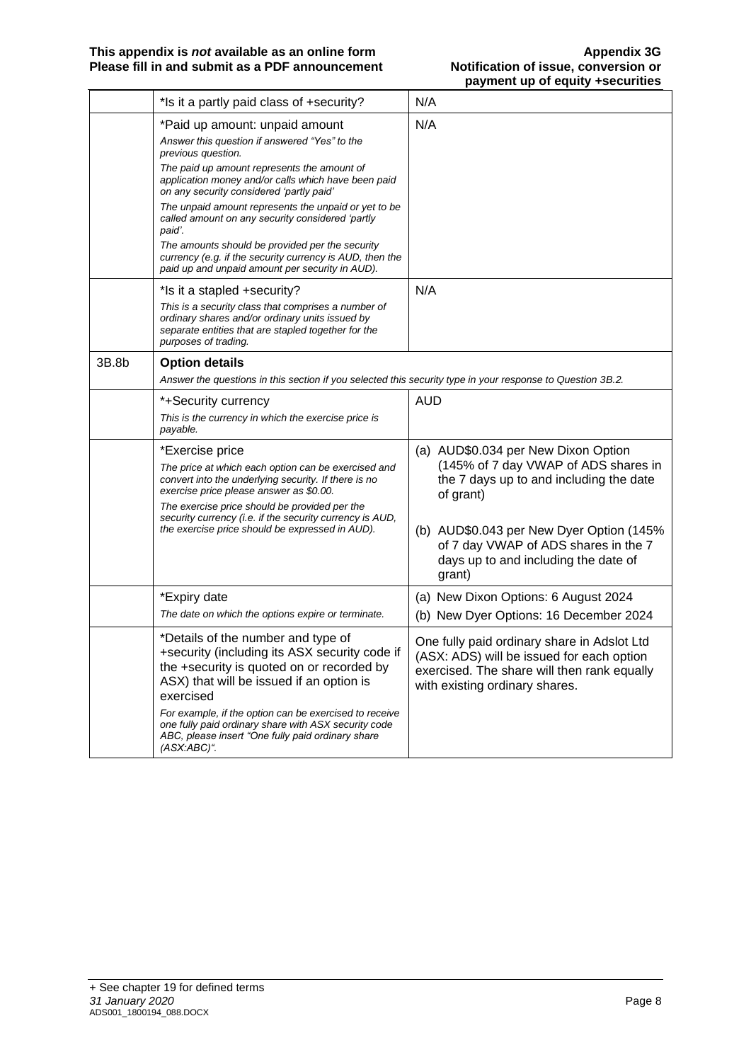|       | *Is it a partly paid class of +security?                                                                                                                                                                                                                                                                                                                                                                                                                                                                                                        | N/A                                                                                                                                                                                                                                                                       |
|-------|-------------------------------------------------------------------------------------------------------------------------------------------------------------------------------------------------------------------------------------------------------------------------------------------------------------------------------------------------------------------------------------------------------------------------------------------------------------------------------------------------------------------------------------------------|---------------------------------------------------------------------------------------------------------------------------------------------------------------------------------------------------------------------------------------------------------------------------|
|       | *Paid up amount: unpaid amount<br>Answer this question if answered "Yes" to the<br>previous question.<br>The paid up amount represents the amount of<br>application money and/or calls which have been paid<br>on any security considered 'partly paid'<br>The unpaid amount represents the unpaid or yet to be<br>called amount on any security considered 'partly<br>paid'.<br>The amounts should be provided per the security<br>currency (e.g. if the security currency is AUD, then the<br>paid up and unpaid amount per security in AUD). | N/A                                                                                                                                                                                                                                                                       |
|       | *Is it a stapled +security?<br>This is a security class that comprises a number of<br>ordinary shares and/or ordinary units issued by<br>separate entities that are stapled together for the<br>purposes of trading.                                                                                                                                                                                                                                                                                                                            | N/A                                                                                                                                                                                                                                                                       |
| 3B.8b | <b>Option details</b><br>Answer the questions in this section if you selected this security type in your response to Question 3B.2.                                                                                                                                                                                                                                                                                                                                                                                                             |                                                                                                                                                                                                                                                                           |
|       | *+Security currency<br>This is the currency in which the exercise price is<br>payable.                                                                                                                                                                                                                                                                                                                                                                                                                                                          | <b>AUD</b>                                                                                                                                                                                                                                                                |
|       | *Exercise price<br>The price at which each option can be exercised and<br>convert into the underlying security. If there is no<br>exercise price please answer as \$0.00.<br>The exercise price should be provided per the<br>security currency (i.e. if the security currency is AUD,<br>the exercise price should be expressed in AUD).                                                                                                                                                                                                       | (a) AUD\$0.034 per New Dixon Option<br>(145% of 7 day VWAP of ADS shares in<br>the 7 days up to and including the date<br>of grant)<br>(b) AUD\$0.043 per New Dyer Option (145%<br>of 7 day VWAP of ADS shares in the 7<br>days up to and including the date of<br>grant) |
|       | *Expiry date<br>The date on which the options expire or terminate.                                                                                                                                                                                                                                                                                                                                                                                                                                                                              | (a) New Dixon Options: 6 August 2024<br>(b) New Dyer Options: 16 December 2024                                                                                                                                                                                            |
|       | *Details of the number and type of<br>+security (including its ASX security code if<br>the +security is quoted on or recorded by<br>ASX) that will be issued if an option is<br>exercised<br>For example, if the option can be exercised to receive<br>one fully paid ordinary share with ASX security code<br>ABC, please insert "One fully paid ordinary share<br>$(ASX:ABC)^{n}$ .                                                                                                                                                           | One fully paid ordinary share in Adslot Ltd<br>(ASX: ADS) will be issued for each option<br>exercised. The share will then rank equally<br>with existing ordinary shares.                                                                                                 |
|       |                                                                                                                                                                                                                                                                                                                                                                                                                                                                                                                                                 |                                                                                                                                                                                                                                                                           |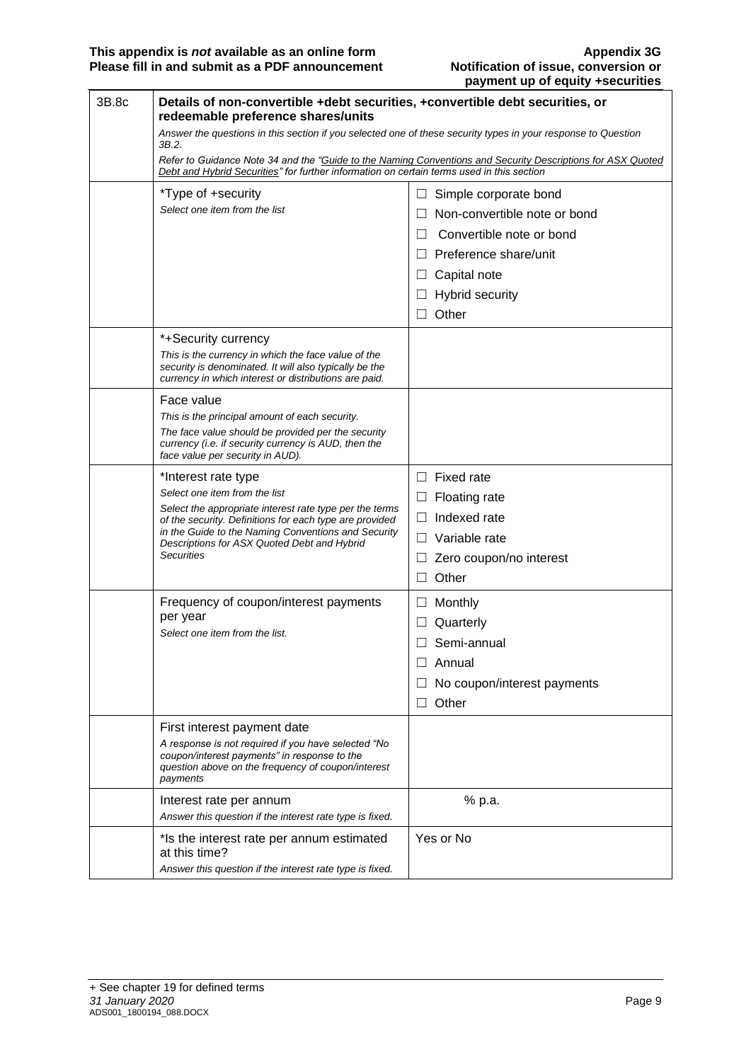| 3B.8c | Details of non-convertible +debt securities, +convertible debt securities, or<br>redeemable preference shares/units                                                    |                                                                                                             |  |
|-------|------------------------------------------------------------------------------------------------------------------------------------------------------------------------|-------------------------------------------------------------------------------------------------------------|--|
|       | Answer the questions in this section if you selected one of these security types in your response to Question<br>3B.2.                                                 |                                                                                                             |  |
|       | Debt and Hybrid Securities" for further information on certain terms used in this section                                                                              | Refer to Guidance Note 34 and the "Guide to the Naming Conventions and Security Descriptions for ASX Quoted |  |
|       | *Type of +security                                                                                                                                                     | Simple corporate bond<br>Ш                                                                                  |  |
|       | Select one item from the list                                                                                                                                          | Non-convertible note or bond                                                                                |  |
|       |                                                                                                                                                                        | Convertible note or bond<br>$\perp$                                                                         |  |
|       |                                                                                                                                                                        | $\Box$ Preference share/unit                                                                                |  |
|       |                                                                                                                                                                        | $\Box$ Capital note                                                                                         |  |
|       |                                                                                                                                                                        | $\Box$ Hybrid security                                                                                      |  |
|       |                                                                                                                                                                        | Other<br>$\Box$                                                                                             |  |
|       | *+Security currency                                                                                                                                                    |                                                                                                             |  |
|       | This is the currency in which the face value of the<br>security is denominated. It will also typically be the<br>currency in which interest or distributions are paid. |                                                                                                             |  |
|       | Face value                                                                                                                                                             |                                                                                                             |  |
|       | This is the principal amount of each security.                                                                                                                         |                                                                                                             |  |
|       | The face value should be provided per the security<br>currency (i.e. if security currency is AUD, then the<br>face value per security in AUD).                         |                                                                                                             |  |
|       | *Interest rate type                                                                                                                                                    | <b>Fixed rate</b><br>$\Box$                                                                                 |  |
|       | Select one item from the list                                                                                                                                          | <b>Floating rate</b><br>$\Box$                                                                              |  |
|       | Select the appropriate interest rate type per the terms<br>of the security. Definitions for each type are provided                                                     | Indexed rate<br>$\Box$                                                                                      |  |
|       | in the Guide to the Naming Conventions and Security<br>Descriptions for ASX Quoted Debt and Hybrid                                                                     | $\Box$ Variable rate                                                                                        |  |
|       | <b>Securities</b>                                                                                                                                                      | Zero coupon/no interest<br>⊔                                                                                |  |
|       |                                                                                                                                                                        | Other<br>$\Box$                                                                                             |  |
|       | Frequency of coupon/interest payments                                                                                                                                  | Monthly<br>Ш                                                                                                |  |
|       | per year                                                                                                                                                               | Quarterly<br>$\Box$                                                                                         |  |
|       | Select one item from the list.                                                                                                                                         | Semi-annual<br>□                                                                                            |  |
|       |                                                                                                                                                                        | Annual                                                                                                      |  |
|       |                                                                                                                                                                        | No coupon/interest payments                                                                                 |  |
|       |                                                                                                                                                                        | Other<br>Ш                                                                                                  |  |
|       | First interest payment date                                                                                                                                            |                                                                                                             |  |
|       | A response is not required if you have selected "No<br>coupon/interest payments" in response to the<br>question above on the frequency of coupon/interest<br>payments  |                                                                                                             |  |
|       | Interest rate per annum                                                                                                                                                | % p.a.                                                                                                      |  |
|       | Answer this question if the interest rate type is fixed.                                                                                                               |                                                                                                             |  |
|       | *Is the interest rate per annum estimated<br>at this time?                                                                                                             | Yes or No                                                                                                   |  |
|       | Answer this question if the interest rate type is fixed.                                                                                                               |                                                                                                             |  |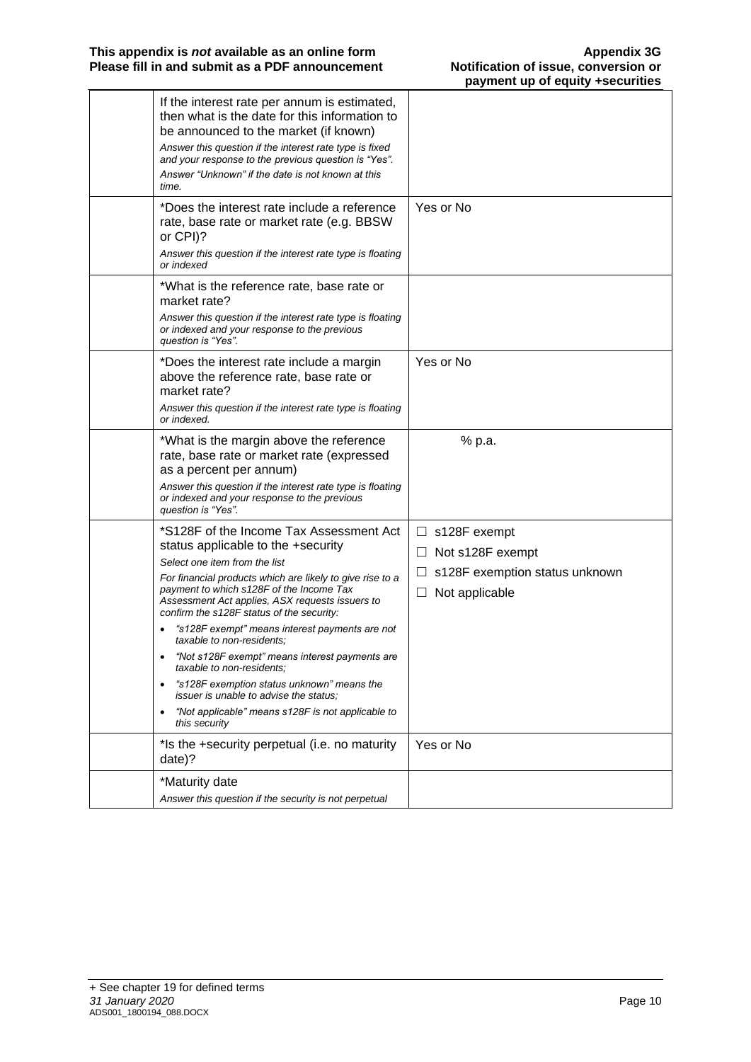| If the interest rate per annum is estimated,<br>then what is the date for this information to<br>be announced to the market (if known)<br>Answer this question if the interest rate type is fixed<br>and your response to the previous question is "Yes".<br>Answer "Unknown" if the date is not known at this<br>time.                                                                                                                                                                                                                                                                                                                                          |                                                                                                            |
|------------------------------------------------------------------------------------------------------------------------------------------------------------------------------------------------------------------------------------------------------------------------------------------------------------------------------------------------------------------------------------------------------------------------------------------------------------------------------------------------------------------------------------------------------------------------------------------------------------------------------------------------------------------|------------------------------------------------------------------------------------------------------------|
| *Does the interest rate include a reference<br>rate, base rate or market rate (e.g. BBSW<br>or CPI)?<br>Answer this question if the interest rate type is floating<br>or indexed                                                                                                                                                                                                                                                                                                                                                                                                                                                                                 | Yes or No                                                                                                  |
| *What is the reference rate, base rate or<br>market rate?<br>Answer this question if the interest rate type is floating<br>or indexed and your response to the previous<br>question is "Yes".                                                                                                                                                                                                                                                                                                                                                                                                                                                                    |                                                                                                            |
| *Does the interest rate include a margin<br>above the reference rate, base rate or<br>market rate?<br>Answer this question if the interest rate type is floating<br>or indexed.                                                                                                                                                                                                                                                                                                                                                                                                                                                                                  | Yes or No                                                                                                  |
| *What is the margin above the reference<br>rate, base rate or market rate (expressed<br>as a percent per annum)<br>Answer this question if the interest rate type is floating<br>or indexed and your response to the previous<br>question is "Yes".                                                                                                                                                                                                                                                                                                                                                                                                              | % p.a.                                                                                                     |
| *S128F of the Income Tax Assessment Act<br>status applicable to the +security<br>Select one item from the list<br>For financial products which are likely to give rise to a<br>payment to which s128F of the Income Tax<br>Assessment Act applies, ASX requests issuers to<br>confirm the s128F status of the security:<br>"s128F exempt" means interest payments are not<br>taxable to non-residents:<br>"Not s128F exempt" means interest payments are<br>taxable to non-residents;<br>"s128F exemption status unknown" means the<br>issuer is unable to advise the status;<br>"Not applicable" means s128F is not applicable to<br>$\bullet$<br>this security | $\Box$ s128F exempt<br>Not s128F exempt<br>ш<br>s128F exemption status unknown<br>Ш<br>Not applicable<br>ப |
| *Is the +security perpetual (i.e. no maturity<br>date)?                                                                                                                                                                                                                                                                                                                                                                                                                                                                                                                                                                                                          | Yes or No                                                                                                  |
| *Maturity date<br>Answer this question if the security is not perpetual                                                                                                                                                                                                                                                                                                                                                                                                                                                                                                                                                                                          |                                                                                                            |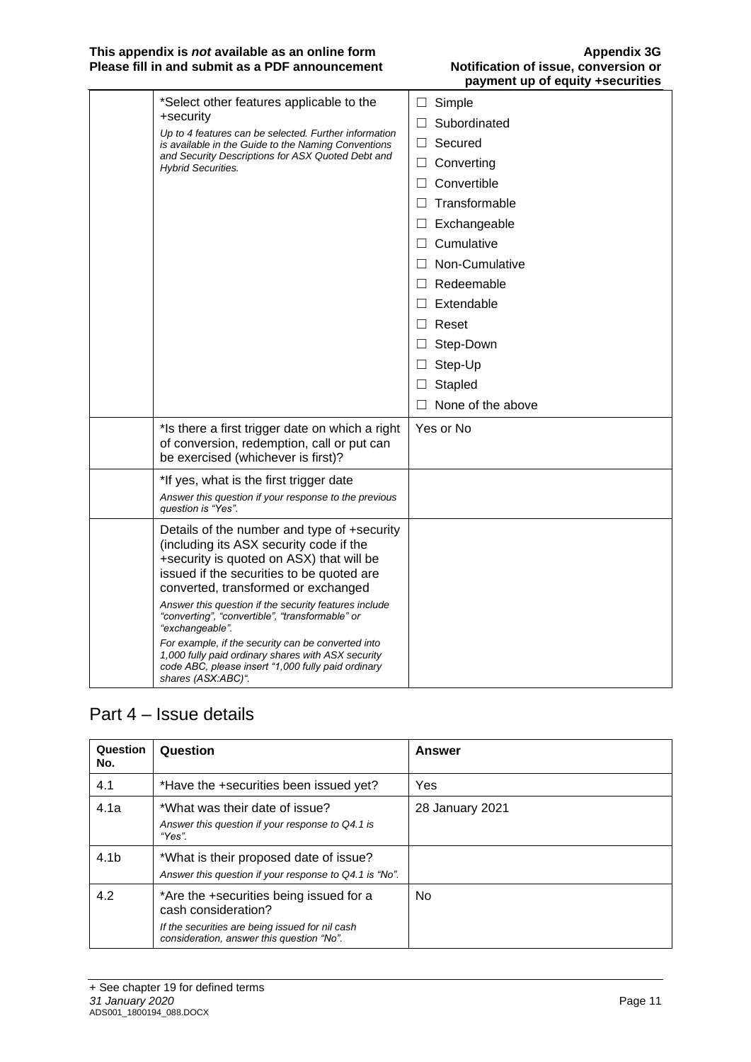#### **This appendix is** *not* **available as an online form Appendix 3G Please fill in and submit as a PDF announcement Notification of issue, conversion or**

| *Select other features applicable to the<br>+security<br>Up to 4 features can be selected. Further information<br>is available in the Guide to the Naming Conventions<br>and Security Descriptions for ASX Quoted Debt and<br><b>Hybrid Securities.</b>                                                                                                                                                                                                                                                                                       | Simple<br>ப<br>Subordinated<br>П<br>Secured<br>$\Box$<br>Converting<br>$\Box$<br>Convertible<br>$\Box$<br>Transformable<br>$\perp$<br>Exchangeable<br>$\Box$<br>Cumulative<br>П<br>Non-Cumulative<br>$\perp$<br>Redeemable<br>$\Box$<br>Extendable<br>$\Box$<br>Reset<br>$\Box$<br>Step-Down<br>$\sqcup$<br>Step-Up<br>$\Box$<br>Stapled<br>$\Box$ |
|-----------------------------------------------------------------------------------------------------------------------------------------------------------------------------------------------------------------------------------------------------------------------------------------------------------------------------------------------------------------------------------------------------------------------------------------------------------------------------------------------------------------------------------------------|----------------------------------------------------------------------------------------------------------------------------------------------------------------------------------------------------------------------------------------------------------------------------------------------------------------------------------------------------|
| *Is there a first trigger date on which a right<br>of conversion, redemption, call or put can<br>be exercised (whichever is first)?                                                                                                                                                                                                                                                                                                                                                                                                           | None of the above<br>П<br>Yes or No                                                                                                                                                                                                                                                                                                                |
| *If yes, what is the first trigger date<br>Answer this question if your response to the previous<br>question is "Yes".                                                                                                                                                                                                                                                                                                                                                                                                                        |                                                                                                                                                                                                                                                                                                                                                    |
| Details of the number and type of +security<br>(including its ASX security code if the<br>+security is quoted on ASX) that will be<br>issued if the securities to be quoted are<br>converted, transformed or exchanged<br>Answer this question if the security features include<br>"converting", "convertible", "transformable" or<br>"exchangeable".<br>For example, if the security can be converted into<br>1,000 fully paid ordinary shares with ASX security<br>code ABC, please insert "1,000 fully paid ordinary<br>shares (ASX:ABC)". |                                                                                                                                                                                                                                                                                                                                                    |

## Part 4 – Issue details

| Question<br>No.  | Question                                                                                                                                                       | Answer          |
|------------------|----------------------------------------------------------------------------------------------------------------------------------------------------------------|-----------------|
| 4.1              | *Have the +securities been issued yet?                                                                                                                         | Yes             |
| 4.1a             | *What was their date of issue?<br>Answer this question if your response to Q4.1 is<br>"Yes".                                                                   | 28 January 2021 |
| 4.1 <sub>b</sub> | *What is their proposed date of issue?<br>Answer this question if your response to Q4.1 is "No".                                                               |                 |
| 4.2              | *Are the +securities being issued for a<br>cash consideration?<br>If the securities are being issued for nil cash<br>consideration, answer this question "No". | No.             |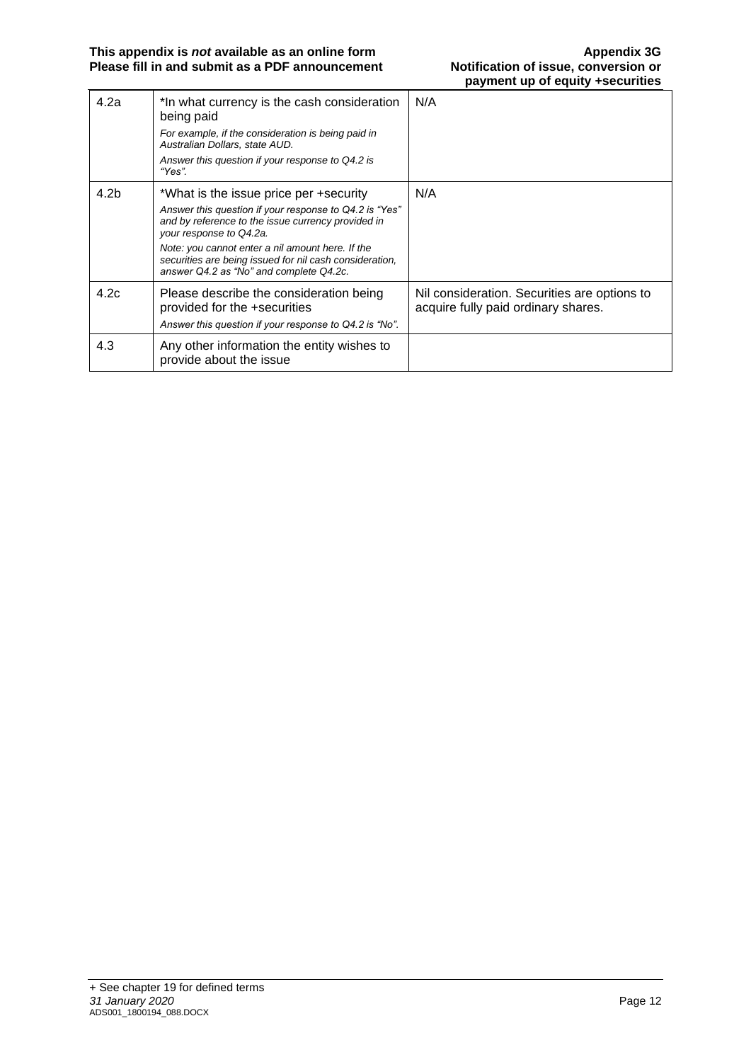| 4.2a | *In what currency is the cash consideration<br>being paid<br>For example, if the consideration is being paid in<br>Australian Dollars, state AUD.<br>Answer this question if your response to Q4.2 is<br>"Yes".                                                                                                                             | N/A                                                                                 |
|------|---------------------------------------------------------------------------------------------------------------------------------------------------------------------------------------------------------------------------------------------------------------------------------------------------------------------------------------------|-------------------------------------------------------------------------------------|
| 4.2b | *What is the issue price per +security<br>Answer this question if your response to Q4.2 is "Yes"<br>and by reference to the issue currency provided in<br>your response to Q4.2a.<br>Note: you cannot enter a nil amount here. If the<br>securities are being issued for nil cash consideration,<br>answer Q4.2 as "No" and complete Q4.2c. | N/A                                                                                 |
| 4.2c | Please describe the consideration being<br>provided for the +securities<br>Answer this question if your response to Q4.2 is "No".                                                                                                                                                                                                           | Nil consideration. Securities are options to<br>acquire fully paid ordinary shares. |
| 4.3  | Any other information the entity wishes to<br>provide about the issue                                                                                                                                                                                                                                                                       |                                                                                     |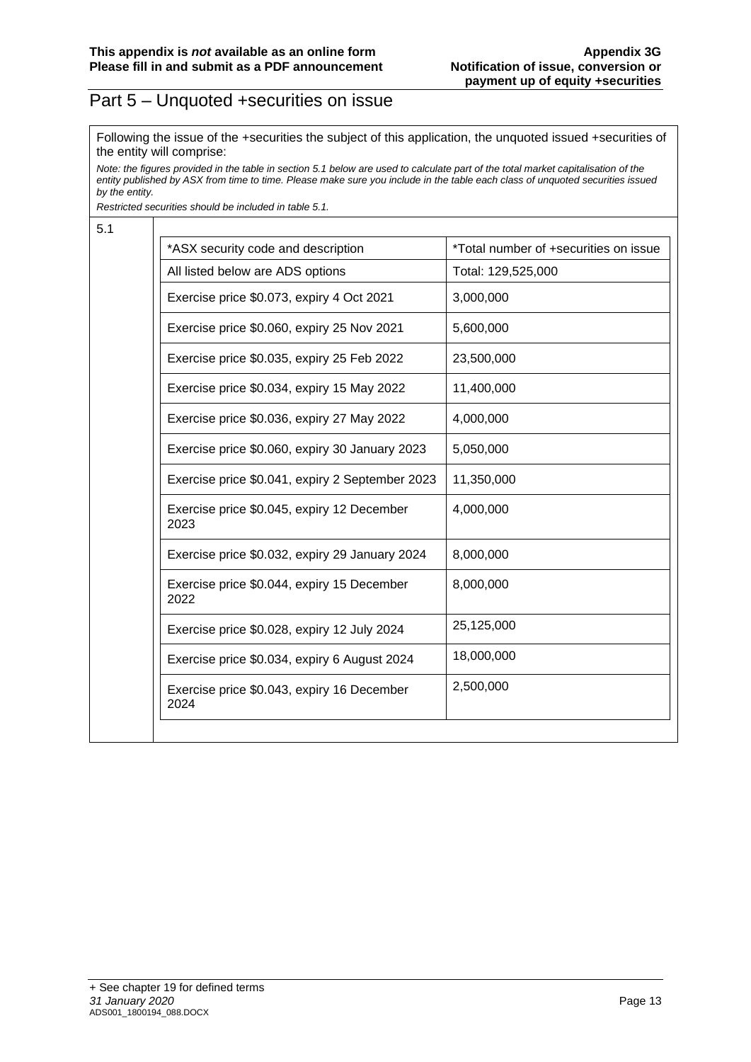#### Part 5 – Unquoted +securities on issue

Following the issue of the +securities the subject of this application, the unquoted issued +securities of the entity will comprise:

*Note: the figures provided in the table in section 5.1 below are used to calculate part of the total market capitalisation of the entity published by ASX from time to time. Please make sure you include in the table each class of unquoted securities issued by the entity.*

*Restricted securities should be included in table 5.1.*

5.1

| *ASX security code and description                 | *Total number of +securities on issue |
|----------------------------------------------------|---------------------------------------|
| All listed below are ADS options                   | Total: 129,525,000                    |
| Exercise price \$0.073, expiry 4 Oct 2021          | 3,000,000                             |
| Exercise price \$0.060, expiry 25 Nov 2021         | 5,600,000                             |
| Exercise price \$0.035, expiry 25 Feb 2022         | 23,500,000                            |
| Exercise price \$0.034, expiry 15 May 2022         | 11,400,000                            |
| Exercise price \$0.036, expiry 27 May 2022         | 4,000,000                             |
| Exercise price \$0.060, expiry 30 January 2023     | 5,050,000                             |
| Exercise price \$0.041, expiry 2 September 2023    | 11,350,000                            |
| Exercise price \$0.045, expiry 12 December<br>2023 | 4,000,000                             |
| Exercise price \$0.032, expiry 29 January 2024     | 8,000,000                             |
| Exercise price \$0.044, expiry 15 December<br>2022 | 8,000,000                             |
| Exercise price \$0.028, expiry 12 July 2024        | 25,125,000                            |
| Exercise price \$0.034, expiry 6 August 2024       | 18,000,000                            |
| Exercise price \$0.043, expiry 16 December<br>2024 | 2,500,000                             |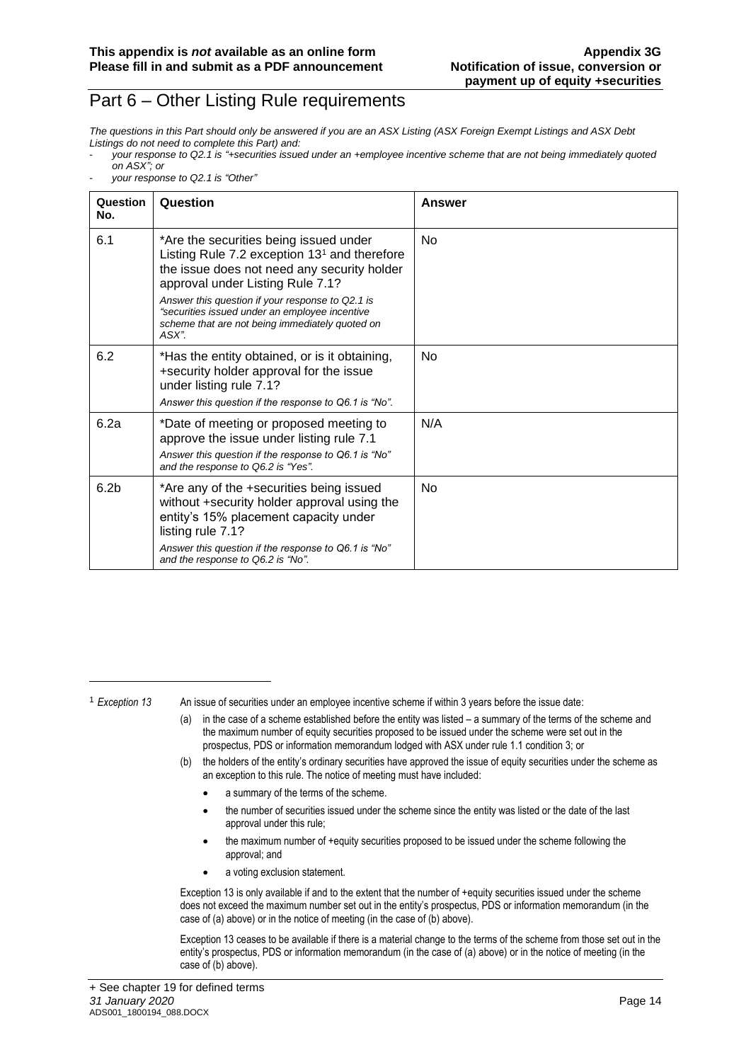#### Part 6 – Other Listing Rule requirements

*The questions in this Part should only be answered if you are an ASX Listing (ASX Foreign Exempt Listings and ASX Debt Listings do not need to complete this Part) and:*

- *your response to Q2.1 is "+securities issued under an +employee incentive scheme that are not being immediately quoted on ASX"; or*
- *your response to Q2.1 is "Other"*

| Question<br>No.  | Question                                                                                                                                                                                                                                                                                                                                      | Answer         |
|------------------|-----------------------------------------------------------------------------------------------------------------------------------------------------------------------------------------------------------------------------------------------------------------------------------------------------------------------------------------------|----------------|
| 6.1              | *Are the securities being issued under<br>Listing Rule 7.2 exception $131$ and therefore<br>the issue does not need any security holder<br>approval under Listing Rule 7.1?<br>Answer this question if your response to Q2.1 is<br>"securities issued under an employee incentive<br>scheme that are not being immediately quoted on<br>ASX". | N <sub>0</sub> |
| 6.2              | *Has the entity obtained, or is it obtaining,<br>+security holder approval for the issue<br>under listing rule 7.1?<br>Answer this question if the response to Q6.1 is "No".                                                                                                                                                                  | <b>No</b>      |
| 6.2a             | *Date of meeting or proposed meeting to<br>approve the issue under listing rule 7.1<br>Answer this question if the response to Q6.1 is "No"<br>and the response to Q6.2 is "Yes".                                                                                                                                                             | N/A            |
| 6.2 <sub>b</sub> | *Are any of the +securities being issued<br>without +security holder approval using the<br>entity's 15% placement capacity under<br>listing rule 7.1?<br>Answer this question if the response to Q6.1 is "No"<br>and the response to Q6.2 is "No".                                                                                            | No             |

<sup>1</sup> *Exception 13* An issue of securities under an employee incentive scheme if within 3 years before the issue date:

- (a) in the case of a scheme established before the entity was listed a summary of the terms of the scheme and the maximum number of equity securities proposed to be issued under the scheme were set out in the prospectus, PDS or information memorandum lodged with ASX under rule 1.1 condition 3; or
- (b) the holders of the entity's ordinary securities have approved the issue of equity securities under the scheme as an exception to this rule. The notice of meeting must have included:
	- a summary of the terms of the scheme.
	- the number of securities issued under the scheme since the entity was listed or the date of the last approval under this rule;
	- the maximum number of +equity securities proposed to be issued under the scheme following the approval; and
	- a voting exclusion statement.

Exception 13 is only available if and to the extent that the number of +equity securities issued under the scheme does not exceed the maximum number set out in the entity's prospectus, PDS or information memorandum (in the case of (a) above) or in the notice of meeting (in the case of (b) above).

Exception 13 ceases to be available if there is a material change to the terms of the scheme from those set out in the entity's prospectus, PDS or information memorandum (in the case of (a) above) or in the notice of meeting (in the case of (b) above).